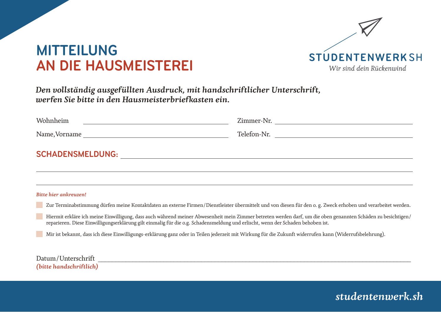

# **MITTEILUNG AN DIE HAUSMEISTEREI**

*Den vollständig ausgefüllten Ausdruck, mit handschriftlicher Unterschrift, werfen Sie bitte in den Hausmeisterbriefkasten ein.*

| Wohnheim                | Zimmer-Nr.  |
|-------------------------|-------------|
| Name, Vorname           | Telefon-Nr. |
| <b>SCHADENSMELDUNG:</b> |             |

*Bitte hier ankreuzen!*

Zur Terminabstimmung dürfen meine Kontaktdaten an externe Firmen/Dienstleister übermittelt und von diesen für den o. g. Zweck erhoben und verarbeitet werden.

 Hiermit erkläre ich meine Einwilligung, dass auch während meiner Abwesenheit mein Zimmer betreten werden darf, um die oben genannten Schäden zu besichtigen/ reparieren. Diese Einwilligungserklärung gilt einmalig für die o.g. Schadensmeldung und erlischt, wenn der Schaden behoben ist.

Mir ist bekannt, dass ich diese Einwilligungs-erklärung ganz oder in Teilen jederzeit mit Wirkung für die Zukunft widerrufen kann (Widerrufsbelehrung).

Datum/Unterschrift *(bitte handschriftlich)*

### *studentenwerk.sh*